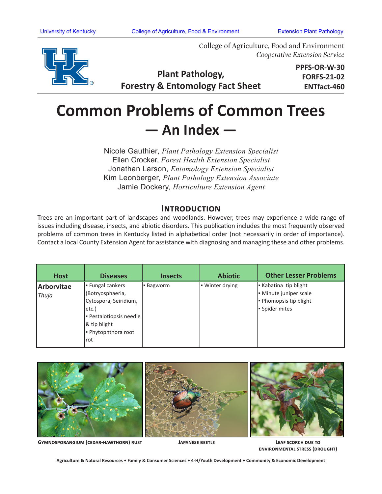

College of Agriculture, Food and Environment *Cooperative Extension Service*

**Plant Pathology, Forestry & Entomology Fact Sheet** **PPFS-OR-W-30 FORFS-21-02 ENTfact-460**

## **Common Problems of Common Trees — An Index —**

Nicole Gauthier, *Plant Pathology Extension Specialist*  Ellen Crocker, *Forest Health Extension Specialist* Jonathan Larson, *Entomology Extension Specialist* Kim Leonberger, *Plant Pathology Extension Associate* Jamie Dockery, *Horticulture Extension Agent*

## **Introduction**

Trees are an important part of landscapes and woodlands. However, trees may experience a wide range of issues including disease, insects, and abiotic disorders. This publication includes the most frequently observed problems of common trees in Kentucky listed in alphabetical order (not necessarily in order of importance). Contact a local County Extension Agent for assistance with diagnosing and managing these and other problems.

| <b>Host</b> | <b>Diseases</b>         | <b>Insects</b> | <b>Abiotic</b>  | <b>Other Lesser Problems</b> |
|-------------|-------------------------|----------------|-----------------|------------------------------|
| Arborvitae  | <b>Fungal cankers</b>   | Bagworm        | • Winter drying | - Kabatina tip blight        |
| Thuja       | (Botryosphaeria,        |                |                 | - Minute juniper scale       |
|             | Cytospora, Seiridium,   |                |                 | - Phomopsis tip blight       |
|             | letc.)                  |                |                 | Spider mites                 |
|             | - Pestalotiopsis needle |                |                 |                              |
|             | & tip blight            |                |                 |                              |
|             | - Phytophthora root     |                |                 |                              |
|             | Irot                    |                |                 |                              |



**Gymnosporangium (cedar-hawthorn) rust**

**Japanese beetle Leaf scorch due to environmental stress (drought)**

**Agriculture & Natural Resources • Family & Consumer Sciences • 4-H/Youth Development • Community & Economic Development**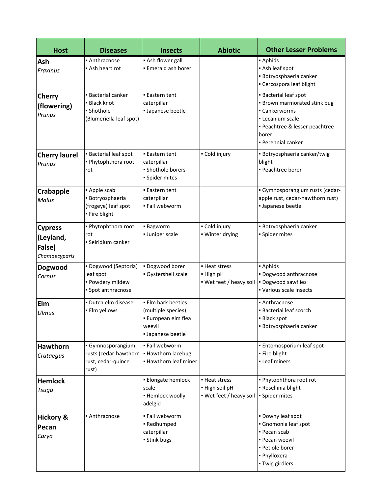| <b>Host</b>                                            | <b>Diseases</b>                                                                  | <b>Insects</b>                                                                                 | <b>Abiotic</b>                                             | <b>Other Lesser Problems</b>                                                                                                                                     |
|--------------------------------------------------------|----------------------------------------------------------------------------------|------------------------------------------------------------------------------------------------|------------------------------------------------------------|------------------------------------------------------------------------------------------------------------------------------------------------------------------|
| Ash<br><b>Fraxinus</b>                                 | • Anthracnose<br>• Ash heart rot                                                 | • Ash flower gall<br>. Emerald ash borer                                                       |                                                            | - Aphids<br>Ash leaf spot<br>· Botryosphaeria canker<br>• Cercospora leaf blight                                                                                 |
| <b>Cherry</b><br>(flowering)<br>Prunus                 | <b>Bacterial canker</b><br>• Black knot<br>• Shothole<br>(Blumeriella leaf spot) | <b>Eastern tent</b><br>caterpillar<br>· Japanese beetle                                        |                                                            | • Bacterial leaf spot<br><b>Brown marmorated stink bug</b><br>• Cankerworms<br>• Lecanium scale<br>· Peachtree & lesser peachtree<br>borer<br>• Perennial canker |
| <b>Cherry laurel</b><br>Prunus                         | <b>Bacterial leaf spot</b><br>. Phytophthora root<br>rot                         | <b>Eastern tent</b><br>caterpillar<br>· Shothole borers<br>· Spider mites                      | • Cold injury                                              | · Botryosphaeria canker/twig<br>blight<br>- Peachtree borer                                                                                                      |
| Crabapple<br>Malus                                     | - Apple scab<br>· Botryosphaeria<br>(frogeye) leaf spot<br>· Fire blight         | <b>Eastern tent</b><br>caterpillar<br>· Fall webworm                                           |                                                            | · Gymnosporangium rusts (cedar-<br>apple rust, cedar-hawthorn rust)<br>· Japanese beetle                                                                         |
| <b>Cypress</b><br>(Leyland,<br>False)<br>Chamaecyparis | . Phytophthora root<br>rot<br>· Seiridium canker                                 | <b>Bagworm</b><br>· Juniper scale                                                              | • Cold injury<br>· Winter drying                           | · Botryosphaeria canker<br>· Spider mites                                                                                                                        |
| Dogwood<br>Cornus                                      | · Dogwood (Septoria)<br>leaf spot<br>· Powdery mildew<br>• Spot anthracnose      | · Dogwood borer<br>· Oystershell scale                                                         | - Heat stress<br>- High pH<br>• Wet feet / heavy soil      | - Aphids<br>· Dogwood anthracnose<br>· Dogwood sawflies<br>• Various scale insects                                                                               |
| Elm<br><b>Ulmus</b>                                    | · Dutch elm disease<br>· Elm yellows                                             | · Elm bark beetles<br>(multiple species)<br>· European elm flea<br>weevil<br>· Japanese beetle |                                                            | • Anthracnose<br><b>Bacterial leaf scorch</b><br>· Black spot<br>· Botryosphaeria canker                                                                         |
| <b>Hawthorn</b><br>Crataegus                           | · Gymnosporangium<br>rusts (cedar-hawthorn<br>rust, cedar-quince<br>rust)        | . Fall webworm<br>• Hawthorn lacebug<br>. Hawthorn leaf miner                                  |                                                            | · Entomosporium leaf spot<br>· Fire blight<br>• Leaf miners                                                                                                      |
| <b>Hemlock</b><br>Tsuga                                |                                                                                  | · Elongate hemlock<br>scale<br>• Hemlock woolly<br>adelgid                                     | • Heat stress<br>- High soil pH<br>• Wet feet / heavy soil | . Phytophthora root rot<br>• Rosellinia blight<br>· Spider mites                                                                                                 |
| <b>Hickory &amp;</b><br>Pecan<br>Carya                 | • Anthracnose                                                                    | . Fall webworm<br>- Redhumped<br>caterpillar<br>· Stink bugs                                   |                                                            | . Downy leaf spot<br>• Gnomonia leaf spot<br>- Pecan scab<br>- Pecan weevil<br>· Petiole borer<br>· Phylloxera<br>- Twig girdlers                                |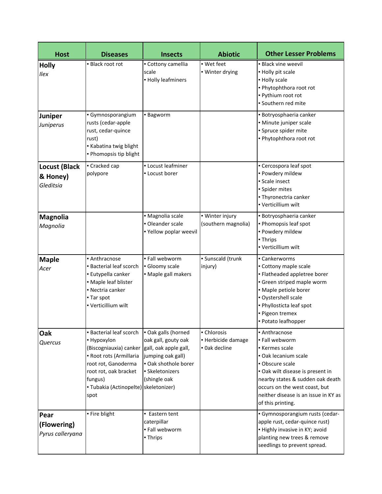| <b>Host</b>                                   | <b>Diseases</b>                                                                                                                                                                                                               | <b>Insects</b>                                                                                                             | <b>Abiotic</b>                                     | <b>Other Lesser Problems</b>                                                                                                                                                                                                                                     |
|-----------------------------------------------|-------------------------------------------------------------------------------------------------------------------------------------------------------------------------------------------------------------------------------|----------------------------------------------------------------------------------------------------------------------------|----------------------------------------------------|------------------------------------------------------------------------------------------------------------------------------------------------------------------------------------------------------------------------------------------------------------------|
| <b>Holly</b><br><b>Ilex</b>                   | - Black root rot                                                                                                                                                                                                              | - Cottony camellia<br>scale<br>• Holly leafminers                                                                          | - Wet feet<br>· Winter drying                      | • Black vine weevil<br>- Holly pit scale<br>- Holly scale<br>. Phytophthora root rot<br>- Pythium root rot<br>· Southern red mite                                                                                                                                |
| Juniper<br>Juniperus                          | Gymnosporangium<br>rusts (cedar-apple<br>rust, cedar-quince<br>rust)<br>Kabatina twig blight<br>. Phomopsis tip blight                                                                                                        | - Bagworm                                                                                                                  |                                                    | · Botryosphaeria canker<br>· Minute juniper scale<br>· Spruce spider mite<br>. Phytophthora root rot                                                                                                                                                             |
| <b>Locust (Black</b><br>& Honey)<br>Gleditsia | • Cracked cap<br>polypore                                                                                                                                                                                                     | • Locust leafminer<br>- Locust borer                                                                                       |                                                    | • Cercospora leaf spot<br>- Powdery mildew<br>Scale insect<br>· Spider mites<br>· Thyronectria canker<br>- Verticillium wilt                                                                                                                                     |
| <b>Magnolia</b><br>Magnolia                   |                                                                                                                                                                                                                               | · Magnolia scale<br>· Oleander scale<br>. Yellow poplar weevil                                                             | · Winter injury<br>(southern magnolia)             | · Botryosphaeria canker<br>- Phomopsis leaf spot<br>- Powdery mildew<br>- Thrips<br>• Verticillium wilt                                                                                                                                                          |
| <b>Maple</b><br>Acer                          | • Anthracnose<br><b>Bacterial leaf scorch</b><br>· Eutypella canker<br>• Maple leaf blister<br>• Nectria canker<br>- Tar spot<br>• Verticillium wilt                                                                          | · Fall webworm<br>· Gloomy scale<br>· Maple gall makers                                                                    | · Sunscald (trunk<br>injury)                       | - Cankerworms<br>• Cottony maple scale<br>· Flatheaded appletree borer<br>· Green striped maple worm<br>· Maple petiole borer<br>Oystershell scale<br>· Phyllosticta leaf spot<br>· Pigeon tremex<br>- Potato leafhopper                                         |
| <b>Oak</b><br>Quercus                         | • Bacterial leaf scorch<br>• Hypoxylon<br>(Biscogniauxia) canker gall, oak apple gall,<br>- Root rots (Armillaria<br>root rot, Ganoderma<br>root rot, oak bracket<br>fungus)<br>- Tubakia (Actinopelte) skeletonizer)<br>spot | . Oak galls (horned<br>oak gall, gouty oak<br>jumping oak gall)<br>. Oak shothole borer<br>· Skeletonizers<br>(shingle oak | - Chlorosis<br>- Herbicide damage<br>• Oak decline | • Anthracnose<br>. Fall webworm<br>Kermes scale<br>· Oak lecanium scale<br>· Obscure scale<br>. Oak wilt disease is present in<br>nearby states & sudden oak death<br>occurs on the west coast, but<br>neither disease is an issue in KY as<br>of this printing. |
| Pear<br>(Flowering)<br>Pyrus calleryana       | • Fire blight                                                                                                                                                                                                                 | • Eastern tent<br>caterpillar<br>· Fall webworm<br>• Thrips                                                                |                                                    | · Gymnosporangium rusts (cedar-<br>apple rust, cedar-quince rust)<br>- Highly invasive in KY; avoid<br>planting new trees & remove<br>seedlings to prevent spread.                                                                                               |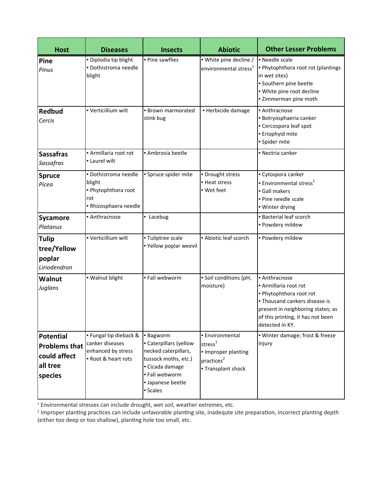| <b>Host</b>                                                                     | <b>Diseases</b>                                                                       | <b>Insects</b>                                                                                                                                               | <b>Abiotic</b>                                                                                          | <b>Other Lesser Problems</b>                                                                                                                                                                    |
|---------------------------------------------------------------------------------|---------------------------------------------------------------------------------------|--------------------------------------------------------------------------------------------------------------------------------------------------------------|---------------------------------------------------------------------------------------------------------|-------------------------------------------------------------------------------------------------------------------------------------------------------------------------------------------------|
| Pine<br>Pinus                                                                   | · Diplodia tip blight<br>· Dothistroma needle<br>blight                               | · Pine sawflies                                                                                                                                              | · White pine decline /<br>environmental stress <sup>1</sup>                                             | - Needle scale<br>• Phytophthora root rot (plantings<br>in wet sites)<br>· Southern pine beetle<br>· White pine root decline<br>- Zimmerman pine moth                                           |
| <b>Redbud</b><br>Cercis                                                         | • Verticillium wilt                                                                   | • Brown marmorated<br>stink bug                                                                                                                              | · Herbicide damage                                                                                      | • Anthracnose<br>· Botryosphaeria canker<br>- Cercospora leaf spot<br>· Eriophyid mite<br>· Spider mite                                                                                         |
| <b>Sassafras</b><br>Sassafras                                                   | - Armillaria root rot<br>- Laurel wilt                                                | • Ambrosia beetle                                                                                                                                            |                                                                                                         | • Nectria canker                                                                                                                                                                                |
| <b>Spruce</b><br>Picea                                                          | · Dothistroma needle<br>blight<br>. Phytophthora root<br>rot<br>- Rhizosphaera needle | • Spruce spider mite                                                                                                                                         | · Drought stress<br>- Heat stress<br>· Wet feet                                                         | • Cytospora canker<br><b>Environmental stress</b> <sup>1</sup><br>Gall makers<br>. Pine needle scale<br>· Winter drying                                                                         |
| <b>Sycamore</b><br>Platanus                                                     | • Anthracnose                                                                         | Lacebug                                                                                                                                                      |                                                                                                         | <b>Bacterial leaf scorch</b><br>· Powdery mildew                                                                                                                                                |
| <b>Tulip</b><br>tree/Yellow<br>poplar<br>Liriodendron                           | • Verticillium wilt                                                                   | · Tuliptree scale<br>. Yellow poplar weevil                                                                                                                  | - Abiotic leaf scorch                                                                                   | · Powdery mildew                                                                                                                                                                                |
| <b>Walnut</b><br>Juglans                                                        | · Walnut blight                                                                       | · Fall webworm                                                                                                                                               | · Soil conditions (pH,<br>moisture)                                                                     | • Anthracnose<br>- Armillaria root rot<br>. Phytophthora root rot<br>• Thousand cankers disease is<br>present in neighboring states; as<br>of this printing, it has not been<br>detected in KY. |
| <b>Potential</b><br><b>Problems that</b><br>could affect<br>all tree<br>species | · Fungal tip dieback &<br>canker diseases<br>enhanced by stress<br>Root & heart rots  | <b>Bagworm</b><br>• Caterpillars (yellow<br>necked caterpillars,<br>tussock moths, etc.)<br>Cicada damage<br>- Fall webworm<br>· Japanese beetle<br>Scales - | • Environmental<br>stress $^{1}$<br>· Improper planting<br>practices <sup>2</sup><br>- Transplant shock | · Winter damage; frost & freeze<br>injury                                                                                                                                                       |

<sup>1</sup> Environmental stresses can include drought, wet soil, weather extremes, etc.

<sup>2</sup> Improper planting practices can include unfavorable planting site, inadequte site preparation, incorrect planting depth (either too deep or too shallow), planting hole too small, etc.